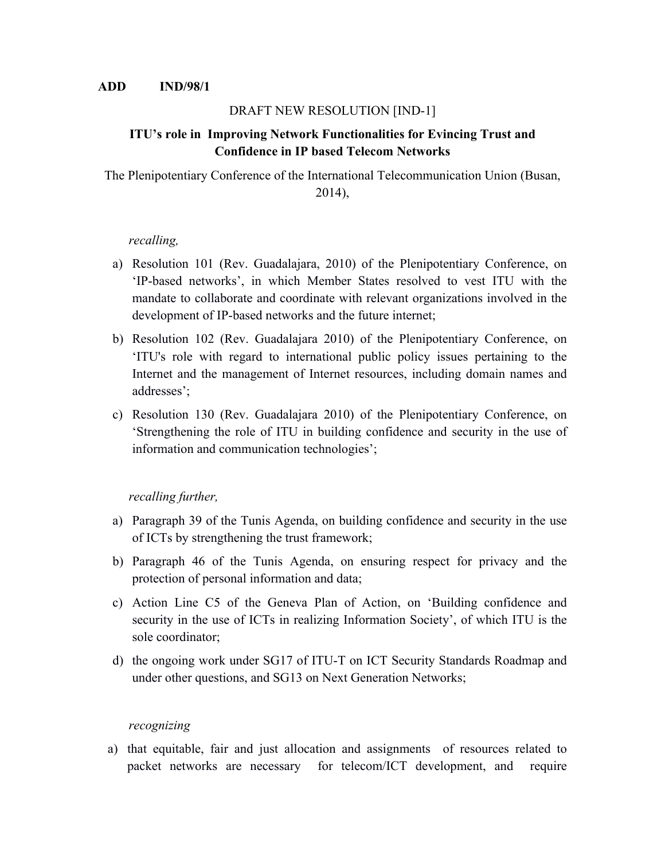### DRAFT NEW RESOLUTION [IND-1]

# **ITU's role in Improving Network Functionalities for Evincing Trust and Confidence in IP based Telecom Networks**

The Plenipotentiary Conference of the International Telecommunication Union (Busan, 2014),

#### *recalling,*

- a) Resolution 101 (Rev. Guadalajara, 2010) of the Plenipotentiary Conference, on 'IP-based networks', in which Member States resolved to vest ITU with the mandate to collaborate and coordinate with relevant organizations involved in the development of IP-based networks and the future internet;
- b) Resolution 102 (Rev. Guadalajara 2010) of the Plenipotentiary Conference, on 'ITU's role with regard to international public policy issues pertaining to the Internet and the management of Internet resources, including domain names and addresses';
- c) Resolution 130 (Rev. Guadalajara 2010) of the Plenipotentiary Conference, on 'Strengthening the role of ITU in building confidence and security in the use of information and communication technologies';

## *recalling further,*

- a) Paragraph 39 of the Tunis Agenda, on building confidence and security in the use of ICTs by strengthening the trust framework;
- b) Paragraph 46 of the Tunis Agenda, on ensuring respect for privacy and the protection of personal information and data;
- c) Action Line C5 of the Geneva Plan of Action, on 'Building confidence and security in the use of ICTs in realizing Information Society', of which ITU is the sole coordinator;
- d) the ongoing work under SG17 of ITU-T on ICT Security Standards Roadmap and under other questions, and SG13 on Next Generation Networks;

#### *recognizing*

a) that equitable, fair and just allocation and assignments of resources related to packet networks are necessary for telecom/ICT development, and require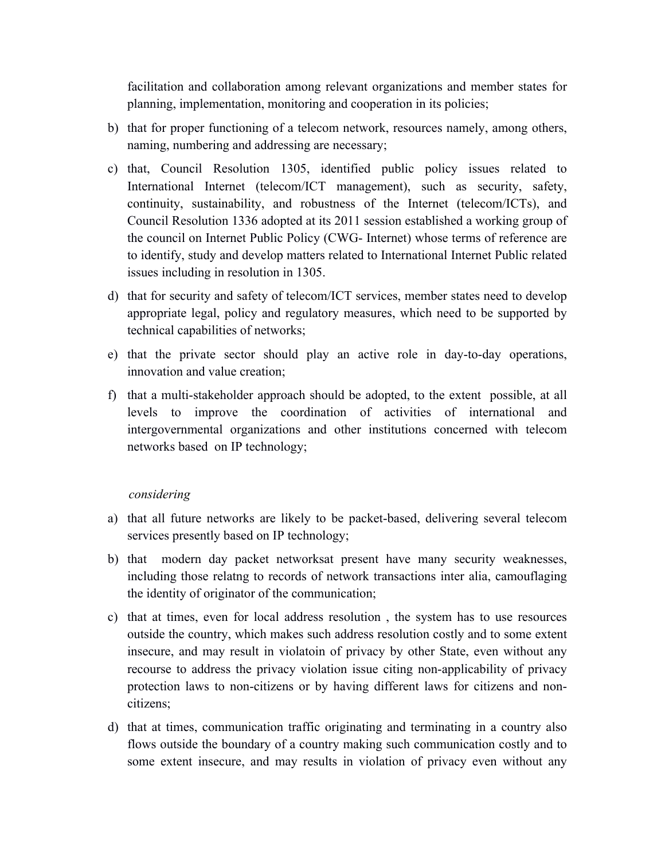facilitation and collaboration among relevant organizations and member states for planning, implementation, monitoring and cooperation in its policies;

- b) that for proper functioning of a telecom network, resources namely, among others, naming, numbering and addressing are necessary;
- c) that, Council Resolution 1305, identified public policy issues related to International Internet (telecom/ICT management), such as security, safety, continuity, sustainability, and robustness of the Internet (telecom/ICTs), and Council Resolution 1336 adopted at its 2011 session established a working group of the council on Internet Public Policy (CWG- Internet) whose terms of reference are to identify, study and develop matters related to International Internet Public related issues including in resolution in 1305.
- d) that for security and safety of telecom/ICT services, member states need to develop appropriate legal, policy and regulatory measures, which need to be supported by technical capabilities of networks;
- e) that the private sector should play an active role in day-to-day operations, innovation and value creation;
- f) that a multi-stakeholder approach should be adopted, to the extent possible, at all levels to improve the coordination of activities of international and intergovernmental organizations and other institutions concerned with telecom networks based on IP technology;

#### *considering*

- a) that all future networks are likely to be packet-based, delivering several telecom services presently based on IP technology;
- b) that modern day packet networksat present have many security weaknesses, including those relatng to records of network transactions inter alia, camouflaging the identity of originator of the communication;
- c) that at times, even for local address resolution , the system has to use resources outside the country, which makes such address resolution costly and to some extent insecure, and may result in violatoin of privacy by other State, even without any recourse to address the privacy violation issue citing non-applicability of privacy protection laws to non-citizens or by having different laws for citizens and noncitizens;
- d) that at times, communication traffic originating and terminating in a country also flows outside the boundary of a country making such communication costly and to some extent insecure, and may results in violation of privacy even without any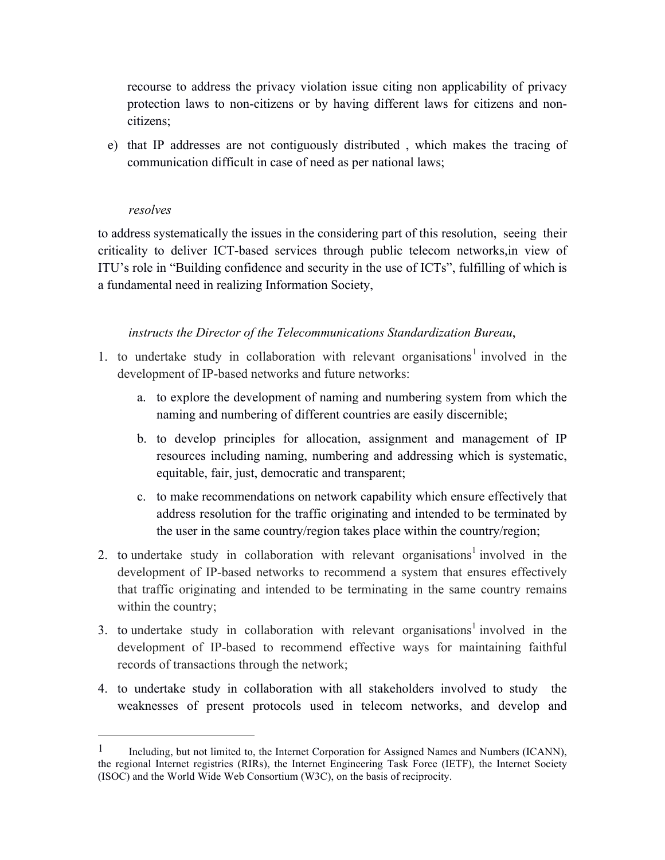recourse to address the privacy violation issue citing non applicability of privacy protection laws to non-citizens or by having different laws for citizens and noncitizens;

e) that IP addresses are not contiguously distributed , which makes the tracing of communication difficult in case of need as per national laws;

#### *resolves*

 $\overline{a}$ 

to address systematically the issues in the considering part of this resolution, seeing their criticality to deliver ICT-based services through public telecom networks,in view of ITU's role in "Building confidence and security in the use of ICTs", fulfilling of which is a fundamental need in realizing Information Society,

#### *instructs the Director of the Telecommunications Standardization Bureau*,

- 1. to undertake study in collaboration with relevant organisations<sup>1</sup> involved in the development of IP-based networks and future networks:
	- a. to explore the development of naming and numbering system from which the naming and numbering of different countries are easily discernible;
	- b. to develop principles for allocation, assignment and management of IP resources including naming, numbering and addressing which is systematic, equitable, fair, just, democratic and transparent;
	- c. to make recommendations on network capability which ensure effectively that address resolution for the traffic originating and intended to be terminated by the user in the same country/region takes place within the country/region;
- 2. to undertake study in collaboration with relevant organisations<sup>1</sup> involved in the development of IP-based networks to recommend a system that ensures effectively that traffic originating and intended to be terminating in the same country remains within the country;
- 3. to undertake study in collaboration with relevant organisations<sup>1</sup> involved in the development of IP-based to recommend effective ways for maintaining faithful records of transactions through the network;
- 4. to undertake study in collaboration with all stakeholders involved to study the weaknesses of present protocols used in telecom networks, and develop and

<sup>&</sup>lt;sup>1</sup> Including, but not limited to, the Internet Corporation for Assigned Names and Numbers (ICANN), the regional Internet registries (RIRs), the Internet Engineering Task Force (IETF), the Internet Society (ISOC) and the World Wide Web Consortium (W3C), on the basis of reciprocity.